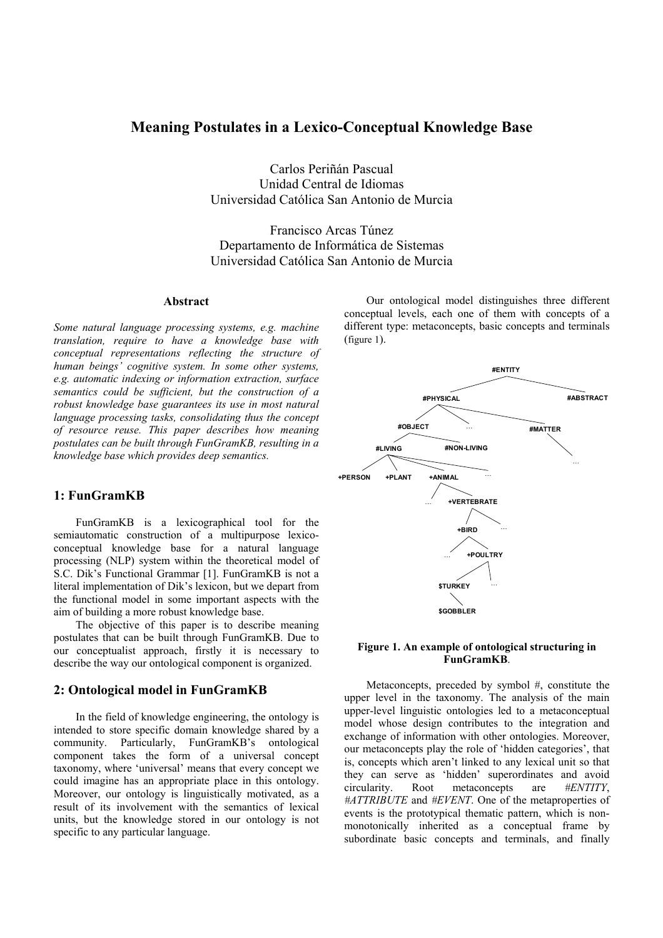### **Meaning Postulates in a Lexico-Conceptual Knowledge Base**

Carlos Periñán Pascual Unidad Central de Idiomas Universidad Católica San Antonio de Murcia

Francisco Arcas Túnez Departamento de Informática de Sistemas Universidad Católica San Antonio de Murcia

### **Abstract**

*Some natural language processing systems, e.g. machine translation, require to have a knowledge base with conceptual representations reflecting the structure of human beings' cognitive system. In some other systems, e.g. automatic indexing or information extraction, surface semantics could be sufficient, but the construction of a robust knowledge base guarantees its use in most natural language processing tasks, consolidating thus the concept of resource reuse. This paper describes how meaning postulates can be built through FunGramKB, resulting in a knowledge base which provides deep semantics.* 

### **1: FunGramKB**

FunGramKB is a lexicographical tool for the semiautomatic construction of a multipurpose lexicoconceptual knowledge base for a natural language processing (NLP) system within the theoretical model of S.C. Dik's Functional Grammar [1]. FunGramKB is not a literal implementation of Dik's lexicon, but we depart from the functional model in some important aspects with the aim of building a more robust knowledge base.

The objective of this paper is to describe meaning postulates that can be built through FunGramKB. Due to our conceptualist approach, firstly it is necessary to describe the way our ontological component is organized.

### **2: Ontological model in FunGramKB**

In the field of knowledge engineering, the ontology is intended to store specific domain knowledge shared by a community. Particularly, FunGramKB's ontological component takes the form of a universal concept taxonomy, where 'universal' means that every concept we could imagine has an appropriate place in this ontology. Moreover, our ontology is linguistically motivated, as a result of its involvement with the semantics of lexical units, but the knowledge stored in our ontology is not specific to any particular language.

Our ontological model distinguishes three different conceptual levels, each one of them with concepts of a different type: metaconcepts, basic concepts and terminals (figure 1).



#### **Figure 1. An example of ontological structuring in FunGramKB**.

Metaconcepts, preceded by symbol #, constitute the upper level in the taxonomy. The analysis of the main upper-level linguistic ontologies led to a metaconceptual model whose design contributes to the integration and exchange of information with other ontologies. Moreover, our metaconcepts play the role of 'hidden categories', that is, concepts which aren't linked to any lexical unit so that they can serve as 'hidden' superordinates and avoid circularity. Root metaconcepts are *#ENTITY*, *#ATTRIBUTE* and *#EVENT*. One of the metaproperties of events is the prototypical thematic pattern, which is nonmonotonically inherited as a conceptual frame by subordinate basic concepts and terminals, and finally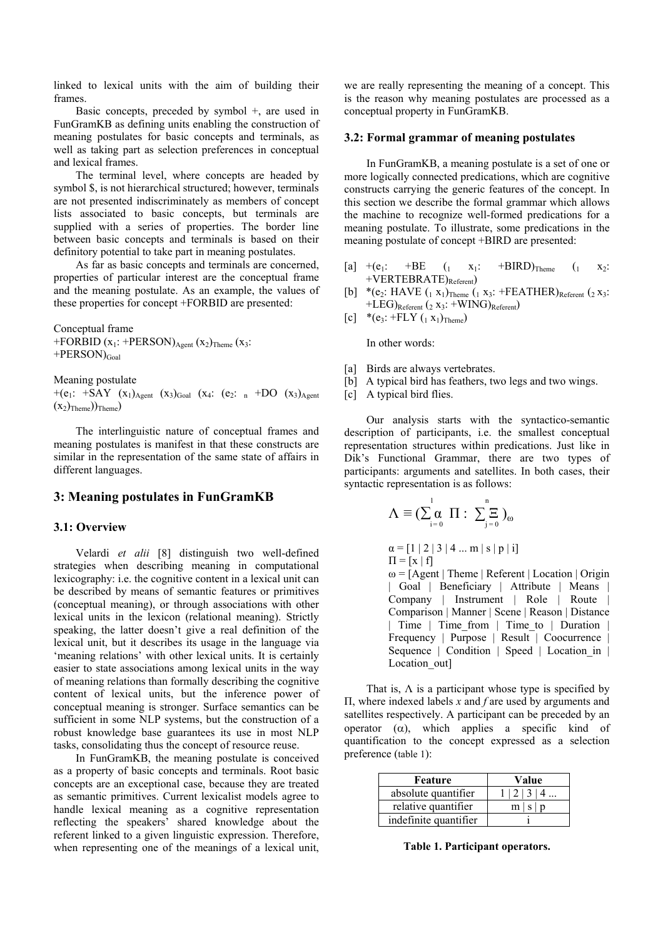linked to lexical units with the aim of building their frames.

Basic concepts, preceded by symbol +, are used in FunGramKB as defining units enabling the construction of meaning postulates for basic concepts and terminals, as well as taking part as selection preferences in conceptual and lexical frames.

The terminal level, where concepts are headed by symbol \$, is not hierarchical structured; however, terminals are not presented indiscriminately as members of concept lists associated to basic concepts, but terminals are supplied with a series of properties. The border line between basic concepts and terminals is based on their definitory potential to take part in meaning postulates.

As far as basic concepts and terminals are concerned, properties of particular interest are the conceptual frame and the meaning postulate. As an example, the values of these properties for concept +FORBID are presented:

Conceptual frame +FORBID  $(x_1: +PERSON)_{Agent} (x_2)_{Thene} (x_3:$  $+PERSON)_{Goal}$ 

Meaning postulate

+(e<sub>1</sub>: +SAY  $(x_1)_{Agent}$   $(x_3)_{Goal}$   $(x_4$ : (e<sub>2</sub>: n +DO  $(x_3)_{Agent}$  $(x_2)$ <sub>Theme</sub>))<sub>Theme</sub>)

The interlinguistic nature of conceptual frames and meaning postulates is manifest in that these constructs are similar in the representation of the same state of affairs in different languages.

#### **3: Meaning postulates in FunGramKB**

#### **3.1: Overview**

Velardi *et alii* [8] distinguish two well-defined strategies when describing meaning in computational lexicography: i.e. the cognitive content in a lexical unit can be described by means of semantic features or primitives (conceptual meaning), or through associations with other lexical units in the lexicon (relational meaning). Strictly speaking, the latter doesn't give a real definition of the lexical unit, but it describes its usage in the language via 'meaning relations' with other lexical units. It is certainly easier to state associations among lexical units in the way of meaning relations than formally describing the cognitive content of lexical units, but the inference power of conceptual meaning is stronger. Surface semantics can be sufficient in some NLP systems, but the construction of a robust knowledge base guarantees its use in most NLP tasks, consolidating thus the concept of resource reuse.

In FunGramKB, the meaning postulate is conceived as a property of basic concepts and terminals. Root basic concepts are an exceptional case, because they are treated as semantic primitives. Current lexicalist models agree to handle lexical meaning as a cognitive representation reflecting the speakers' shared knowledge about the referent linked to a given linguistic expression. Therefore, when representing one of the meanings of a lexical unit,

we are really representing the meaning of a concept. This is the reason why meaning postulates are processed as a conceptual property in FunGramKB.

#### **3.2: Formal grammar of meaning postulates**

In FunGramKB, a meaning postulate is a set of one or more logically connected predications, which are cognitive constructs carrying the generic features of the concept. In this section we describe the formal grammar which allows the machine to recognize well-formed predications for a meaning postulate. To illustrate, some predications in the meaning postulate of concept +BIRD are presented:

- [a]  $+(e_1: +BE \t (1 \t x_1: +BIRD)_{\text{Theme}} \t (1 \t x_2:$  $+VERTEBRATE)$ <sub>Referent</sub>)
- [b] \*(e<sub>2</sub>: HAVE  $(1 x_1)$ <sub>Theme</sub>  $(1 x_3$ : +FEATHER)<sub>Referent</sub>  $(2 x_3$ : +LEG) $_{\text{Referent}}$  (2 x<sub>3</sub>: +WING) $_{\text{Referent}}$ )
- $[c]$  \*(e<sub>3</sub>: +FLY (<sub>1</sub> x<sub>1</sub>)<sub>Theme</sub>)

In other words:

- [a] Birds are always vertebrates.
- [b] A typical bird has feathers, two legs and two wings.
- [c] A typical bird flies.

Our analysis starts with the syntactico-semantic description of participants, i.e. the smallest conceptual representation structures within predications. Just like in Dik's Functional Grammar, there are two types of participants: arguments and satellites. In both cases, their syntactic representation is as follows:

$$
\Lambda \equiv (\sum_{i=0}^{1} \alpha \prod : \sum_{j=0}^{n} )_{\omega}
$$

 $\alpha = [1 | 2 | 3 | 4 ... m | s | p | i]$  $\Pi = [x | f]$  $\omega = \sqrt{A}$ gent | Theme | Referent | Location | Origin | Goal | Beneficiary | Attribute | Means Company | Instrument | Role | Route | Comparison | Manner | Scene | Reason | Distance | Time | Time\_from | Time\_to | Duration | Frequency | Purpose | Result | Coocurrence | Sequence | Condition | Speed | Location in | Location\_out]

That is,  $\Lambda$  is a participant whose type is specified by Π, where indexed labels *x* and *f* are used by arguments and satellites respectively. A participant can be preceded by an operator  $(\alpha)$ , which applies a specific kind of quantification to the concept expressed as a selection preference (table 1):

| Feature               | Value                    |
|-----------------------|--------------------------|
| absolute quantifier   | $1 \mid 2 \mid 3 \mid 4$ |
| relative quantifier   | m s p                    |
| indefinite quantifier |                          |

**Table 1. Participant operators.**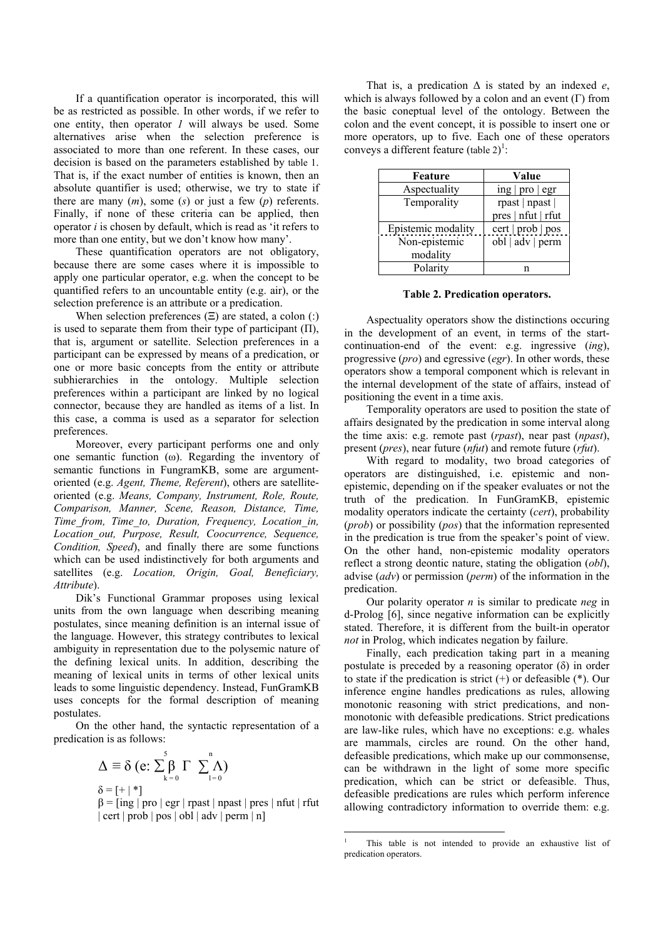If a quantification operator is incorporated, this will be as restricted as possible. In other words, if we refer to one entity, then operator *1* will always be used. Some alternatives arise when the selection preference is associated to more than one referent. In these cases, our decision is based on the parameters established by table 1. That is, if the exact number of entities is known, then an absolute quantifier is used; otherwise, we try to state if there are many  $(m)$ , some  $(s)$  or just a few  $(p)$  referents. Finally, if none of these criteria can be applied, then operator *i* is chosen by default, which is read as 'it refers to more than one entity, but we don't know how many'.

These quantification operators are not obligatory, because there are some cases where it is impossible to apply one particular operator, e.g. when the concept to be quantified refers to an uncountable entity (e.g. air), or the selection preference is an attribute or a predication.

When selection preferences  $(\Xi)$  are stated, a colon (:) is used to separate them from their type of participant  $(\Pi)$ , that is, argument or satellite. Selection preferences in a participant can be expressed by means of a predication, or one or more basic concepts from the entity or attribute subhierarchies in the ontology. Multiple selection preferences within a participant are linked by no logical connector, because they are handled as items of a list. In this case, a comma is used as a separator for selection preferences.

Moreover, every participant performs one and only one semantic function (ω). Regarding the inventory of semantic functions in FungramKB, some are argumentoriented (e.g. *Agent, Theme, Referent*), others are satelliteoriented (e.g. *Means, Company, Instrument, Role, Route, Comparison, Manner, Scene, Reason, Distance, Time, Time\_from, Time\_to, Duration, Frequency, Location\_in, Location\_out, Purpose, Result, Coocurrence, Sequence, Condition, Speed*), and finally there are some functions which can be used indistinctively for both arguments and satellites (e.g. *Location, Origin, Goal, Beneficiary, Attribute*).

Dik's Functional Grammar proposes using lexical units from the own language when describing meaning postulates, since meaning definition is an internal issue of the language. However, this strategy contributes to lexical ambiguity in representation due to the polysemic nature of the defining lexical units. In addition, describing the meaning of lexical units in terms of other lexical units leads to some linguistic dependency. Instead, FunGramKB uses concepts for the formal description of meaning postulates.

On the other hand, the syntactic representation of a predication is as follows:

$$
\Delta \equiv \delta \text{ (e: } \sum_{k=0}^{5} \beta \Gamma \sum_{l=0}^{n} \Lambda \text{)}
$$

$$
\delta = [+| * ]
$$

 $\beta$  = [ing | pro | egr | rpast | npast | pres | nfut | rfut | cert | prob | pos | obl | adv | perm | n]

That is, a predication ∆ is stated by an indexed *e*, which is always followed by a colon and an event  $(Γ)$  from the basic coneptual level of the ontology. Between the colon and the event concept, it is possible to insert one or more operators, up to five. Each one of these operators conveys a different feature (table  $2)^{1}$  $2)^{1}$  $2)^{1}$ :

| Feature            | Value                                        |
|--------------------|----------------------------------------------|
| Aspectuality       | $\frac{\text{ing}}{\text{proj}}$   pro   egr |
| Temporality        | rpast   npast                                |
|                    | pres   nfut   rfut                           |
| Epistemic modality | cert   prob   pos                            |
| Non-epistemic      | obl   adv   perm                             |
| modality           |                                              |
| Polarity           |                                              |

**Table 2. Predication operators.**

Aspectuality operators show the distinctions occuring in the development of an event, in terms of the startcontinuation-end of the event: e.g. ingressive (*ing*), progressive (*pro*) and egressive (*egr*). In other words, these operators show a temporal component which is relevant in the internal development of the state of affairs, instead of positioning the event in a time axis.

Temporality operators are used to position the state of affairs designated by the predication in some interval along the time axis: e.g. remote past (*rpast*), near past (*npast*), present (*pres*), near future (*nfut*) and remote future (*rfut*).

With regard to modality, two broad categories of operators are distinguished, i.e. epistemic and nonepistemic, depending on if the speaker evaluates or not the truth of the predication. In FunGramKB, epistemic modality operators indicate the certainty (*cert*), probability (*prob*) or possibility (*pos*) that the information represented in the predication is true from the speaker's point of view. On the other hand, non-epistemic modality operators reflect a strong deontic nature, stating the obligation (*obl*), advise (*adv*) or permission (*perm*) of the information in the predication.

Our polarity operator *n* is similar to predicate *neg* in d-Prolog [6], since negative information can be explicitly stated. Therefore, it is different from the built-in operator *not* in Prolog, which indicates negation by failure.

Finally, each predication taking part in a meaning postulate is preceded by a reasoning operator  $(\delta)$  in order to state if the predication is strict  $(+)$  or defeasible  $(*)$ . Our inference engine handles predications as rules, allowing monotonic reasoning with strict predications, and nonmonotonic with defeasible predications. Strict predications are law-like rules, which have no exceptions: e.g. whales are mammals, circles are round. On the other hand, defeasible predications, which make up our commonsense, can be withdrawn in the light of some more specific predication, which can be strict or defeasible. Thus, defeasible predications are rules which perform inference allowing contradictory information to override them: e.g.

 $\overline{a}$ 

<span id="page-2-0"></span><sup>1</sup> This table is not intended to provide an exhaustive list of predication operators.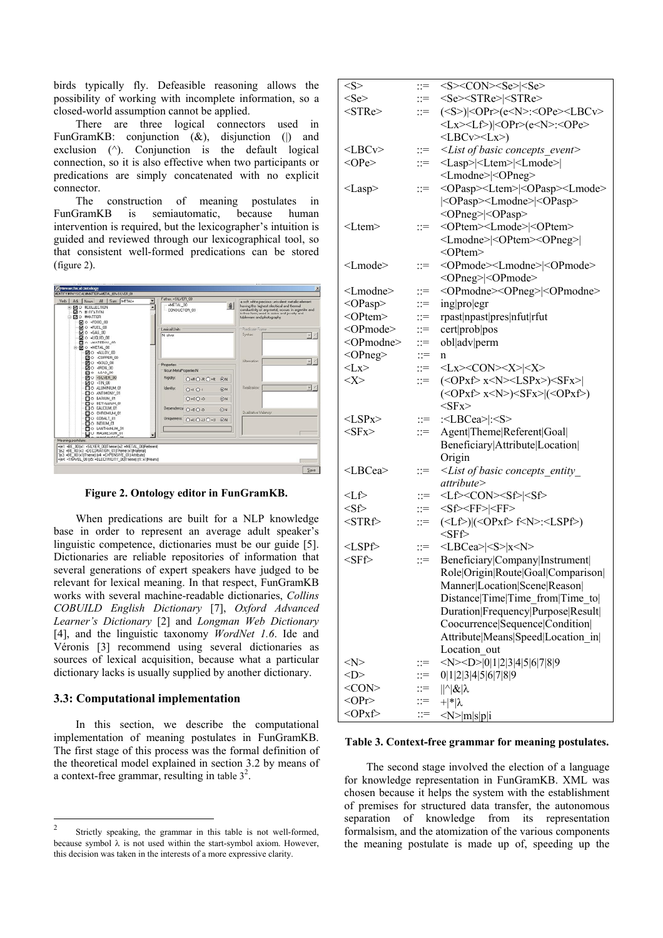birds typically fly. Defeasible reasoning allows the possibility of working with incomplete information, so a closed-world assumption cannot be applied.

There are three logical connectors used in FunGramKB: conjunction  $(\&)$ , disjunction () and exclusion  $(^{\wedge})$ . Conjunction is the default logical connection, so it is also effective when two participants or predications are simply concatenated with no explicit connector.

The construction of meaning postulates in FunGramKB is semiautomatic, because human intervention is required, but the lexicographer's intuition is guided and reviewed through our lexicographical tool, so that consistent well-formed predications can be stored (figure 2).



**Figure 2. Ontology editor in FunGramKB.**

When predications are built for a NLP knowledge base in order to represent an average adult speaker's linguistic competence, dictionaries must be our guide [5]. Dictionaries are reliable repositories of information that several generations of expert speakers have judged to be relevant for lexical meaning. In that respect, FunGramKB works with several machine-readable dictionaries, *Collins COBUILD English Dictionary* [7], *Oxford Advanced Learner's Dictionary* [2] and *Longman Web Dictionary*  [4], and the linguistic taxonomy *WordNet 1.6*. Ide and Véronis [3] recommend using several dictionaries as sources of lexical acquisition, because what a particular dictionary lacks is usually supplied by another dictionary.

### **.3: Computational implementation 3**

In this section, we describe the computational implementation of meaning postulates in FunGramKB. The first stage of this process was the formal definition of the theoretical model explained in section 3.2 by means of a context-free grammar, resulting in table  $3^2$ .

| $<\!\!S\!\!>$       |                           | $\Rightarrow$ <s><con><se> <se></se></se></con></s>                                                                           |
|---------------------|---------------------------|-------------------------------------------------------------------------------------------------------------------------------|
| $<$ Se $>$          | $\equiv$                  | <se><stre> <stre></stre></stre></se>                                                                                          |
| $<$ STRe $>$        | $\equiv$                  | $(S>) OPr>(eN<):OPeLECv$                                                                                                      |
|                     |                           | <lx><lf>) <opr>(e<n>:<ope></ope></n></opr></lf></lx>                                                                          |
|                     |                           | $<$ LBCv $>$ $<$ Lx $>$ )                                                                                                     |
| $<$ LBCv $>$        | $\equiv$                  | <list basic="" concepts="" event="" of=""></list>                                                                             |
| $<$ OPe $>$         | $\equiv$                  | <lasp> <ltem> <lmode> </lmode></ltem></lasp>                                                                                  |
|                     |                           | <lmodne> <opneg></opneg></lmodne>                                                                                             |
| $<$ Lasp $>$        | $\equiv$                  | <opasp><ltem> <opasp><lmode></lmode></opasp></ltem></opasp>                                                                   |
|                     |                           | <opasp><lmodne><opasp></opasp></lmodne></opasp>                                                                               |
|                     |                           | <opneg> <opasp></opasp></opneg>                                                                                               |
| $<$ Ltem $>$        | $\equiv$                  | <optem><lmode> <optem></optem></lmode></optem>                                                                                |
|                     |                           | <lmodne> <optem><opneg> </opneg></optem></lmodne>                                                                             |
|                     |                           | $<$ OPtem $>$                                                                                                                 |
| $<$ Lmode $>$       | $\mathrel{\mathop:}=$     | <opmode><lmodne> <opmode></opmode></lmodne></opmode>                                                                          |
|                     |                           | <opneg> <opmode></opmode></opneg>                                                                                             |
| $<$ Lmodne $>$      | $\equiv$                  | <opmodne><opneg> <opmodne></opmodne></opneg></opmodne>                                                                        |
| <opasp></opasp>     | $\equiv$                  | ingprojegr                                                                                                                    |
| <optem></optem>     | $\mathbb{R}^{\mathbb{Z}}$ | rpast npast pres nfut rfut                                                                                                    |
| <opmode></opmode>   | $\equiv$                  | cert prob pos                                                                                                                 |
| <opmodne></opmodne> | $\equiv$                  | obl adv perm                                                                                                                  |
| <opneg></opneg>     | $\equiv$                  | n                                                                                                                             |
| $<\!\!Lx\!\!>$      | $\equiv$                  | $<$ Lx> <con><math>&lt;</math>X&gt;<math> &lt;</math>X&gt;</con>                                                              |
| <x></x>             | $\equiv$                  | $(<\!\!\mathrm{OPxf}\!\!>x<\!\!N\!\!><\!\!LSPx\!\!>)<\!\!SFx\!\!> $                                                           |
|                     |                           | $(\langle \text{OPxf} \rangle \text{ x} \langle \text{N} \rangle) \langle \text{SFx} \rangle   (\langle \text{OPxf} \rangle)$ |
|                     |                           | $<$ SFx $>$                                                                                                                   |
| $<$ LSPx $>$        | $\equiv$                  | : <lbcea> :<s></s></lbcea>                                                                                                    |
| $<$ SFx $>$         | $\mathrel{\mathop:}=$     | Agent Theme Referent Goal                                                                                                     |
|                     |                           | Beneficiary Attribute Location                                                                                                |
|                     |                           | Origin                                                                                                                        |
| $<$ LBCea>          | $\equiv$                  | $\leq$ List of basic concepts entity                                                                                          |
|                     |                           | attribute                                                                                                                     |
| <lf></lf>           | $\equiv$                  | <lf><con><sf> <sf></sf></sf></con></lf>                                                                                       |
| $<$ Sf $>$          | $\equiv$                  | $<$ Sf> <ff> <ff></ff></ff>                                                                                                   |
| $<$ STRf $>$        | $\equiv$                  | $(\langle Lf \rangle)(\langle \text{OPxf} \rangle f \langle N \rangle) \langle \text{LSPf} \rangle)$                          |
|                     |                           | $<$ SFf $>$                                                                                                                   |
| $<$ LSPf $>$        | $\mathrel{\mathop:}=$     | <lbcea> <s> x<n></n></s></lbcea>                                                                                              |
| $<$ SFf $>$         | $\mathbb{R}^{\mathbb{Z}}$ | Beneficiary Company Instrument                                                                                                |
|                     |                           | Role Origin Route Goal Comparison                                                                                             |
|                     |                           | Manner Location Scene Reason                                                                                                  |
|                     |                           | Distance Time Time from Time to                                                                                               |
|                     |                           | Duration Frequency Purpose Result                                                                                             |
|                     |                           | Coocurrence Sequence Condition                                                                                                |
|                     |                           | Attribute Means Speed Location in                                                                                             |
|                     |                           | Location out                                                                                                                  |
| <n></n>             | $\mathrel{\mathop:}=$     | $<\N>10 1 2 3 4 5 6 7 8 9$                                                                                                    |
| $<$ D>              | $\mathbb{R}^{\mathbb{Z}}$ | 0 1 2 3 4 5 6 7 8 9                                                                                                           |
| $<$ CON $>$         | $\equiv$                  | $   \hat{\alpha}   \hat{\alpha}$                                                                                              |
| $<$ OPr $>$         |                           | ::= + * λ                                                                                                                     |
| $<$ OPxf>           | $\equiv$                  | $\langle N \rangle  m s p i$                                                                                                  |

#### **Table 3. Context-free grammar for meaning postulates.**

The second stage involved the election of a language for knowledge representation in FunGramKB. XML was chosen because it helps the system with the establishment of premises for structured data transfer, the autonomous separation of knowledge from its representation formalsism, and the atomization of the various components the meaning postulate is made up of, speeding up the

<span id="page-3-0"></span> $\overline{2}$  Strictly speaking, the grammar in this table is not well-formed, because symbol  $\lambda$  is not used within the start-symbol axiom. However, this decision was taken in the interests of a more expressive clarity.